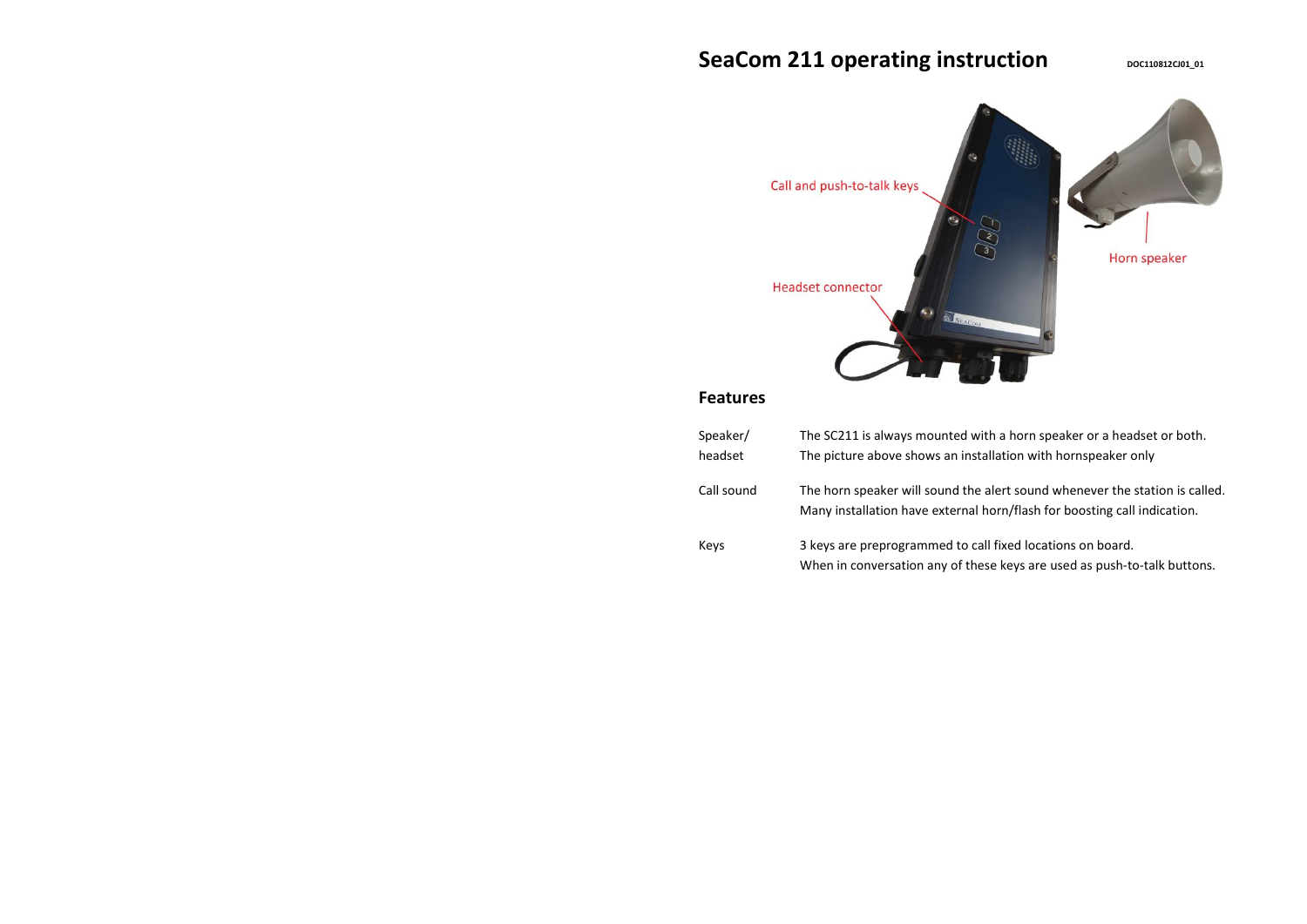# SeaCom 211 operating instruction *DOC110812CIO1\_01*



# **Features**

| Speaker/<br>headset | The SC211 is always mounted with a horn speaker or a headset or both.                                                                                   |
|---------------------|---------------------------------------------------------------------------------------------------------------------------------------------------------|
|                     | The picture above shows an installation with hornspeaker only                                                                                           |
| Call sound          | The horn speaker will sound the alert sound whenever the station is called.<br>Many installation have external horn/flash for boosting call indication. |
| Keys                | 3 keys are preprogrammed to call fixed locations on board.<br>When in conversation any of these keys are used as push-to-talk buttons.                  |